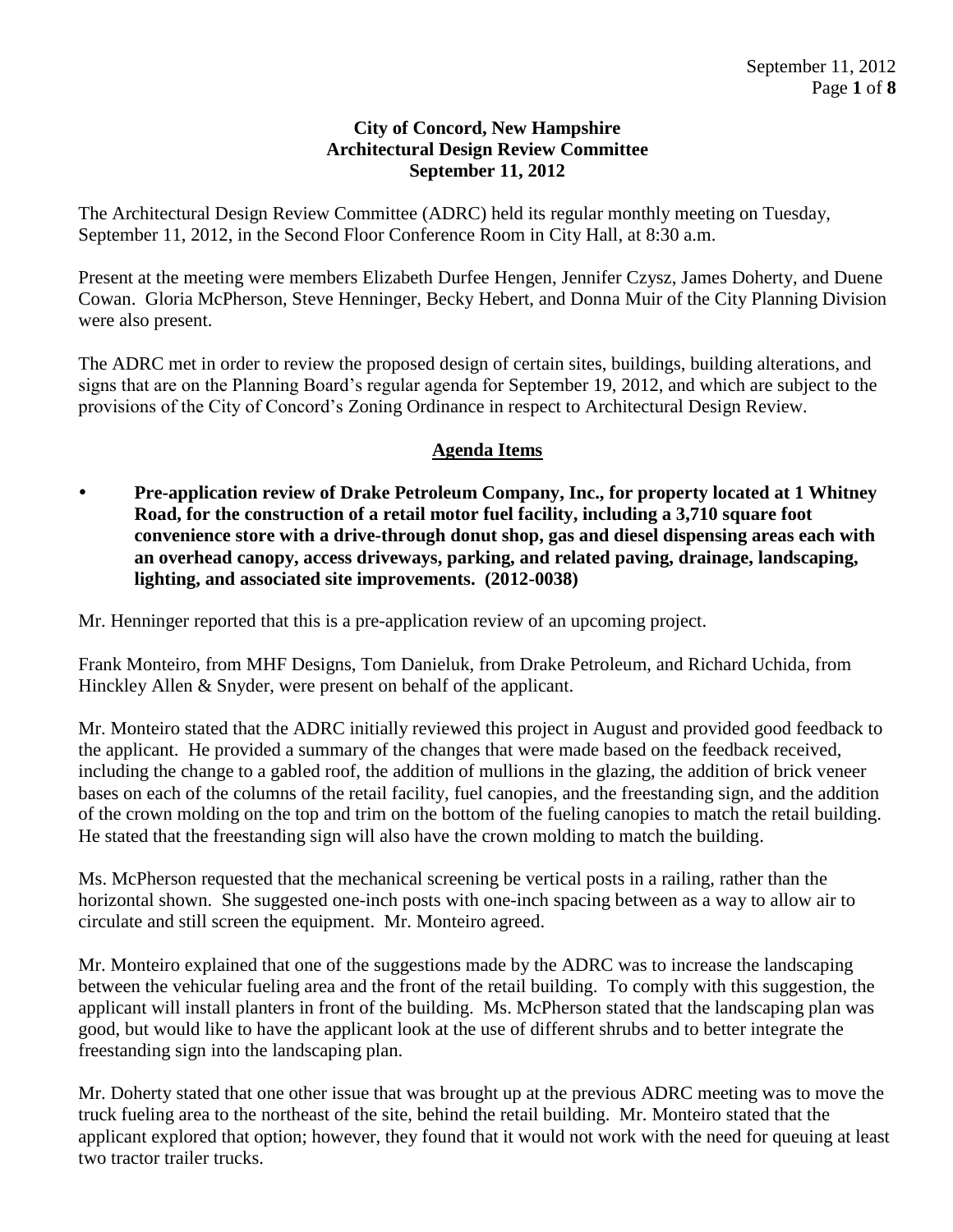## **City of Concord, New Hampshire Architectural Design Review Committee September 11, 2012**

The Architectural Design Review Committee (ADRC) held its regular monthly meeting on Tuesday, September 11, 2012, in the Second Floor Conference Room in City Hall, at 8:30 a.m.

Present at the meeting were members Elizabeth Durfee Hengen, Jennifer Czysz, James Doherty, and Duene Cowan. Gloria McPherson, Steve Henninger, Becky Hebert, and Donna Muir of the City Planning Division were also present.

The ADRC met in order to review the proposed design of certain sites, buildings, building alterations, and signs that are on the Planning Board's regular agenda for September 19, 2012, and which are subject to the provisions of the City of Concord's Zoning Ordinance in respect to Architectural Design Review.

# **Agenda Items**

 **Pre-application review of Drake Petroleum Company, Inc., for property located at 1 Whitney Road, for the construction of a retail motor fuel facility, including a 3,710 square foot convenience store with a drive-through donut shop, gas and diesel dispensing areas each with an overhead canopy, access driveways, parking, and related paving, drainage, landscaping, lighting, and associated site improvements. (2012-0038)** 

Mr. Henninger reported that this is a pre-application review of an upcoming project.

Frank Monteiro, from MHF Designs, Tom Danieluk, from Drake Petroleum, and Richard Uchida, from Hinckley Allen & Snyder, were present on behalf of the applicant.

Mr. Monteiro stated that the ADRC initially reviewed this project in August and provided good feedback to the applicant. He provided a summary of the changes that were made based on the feedback received, including the change to a gabled roof, the addition of mullions in the glazing, the addition of brick veneer bases on each of the columns of the retail facility, fuel canopies, and the freestanding sign, and the addition of the crown molding on the top and trim on the bottom of the fueling canopies to match the retail building. He stated that the freestanding sign will also have the crown molding to match the building.

Ms. McPherson requested that the mechanical screening be vertical posts in a railing, rather than the horizontal shown. She suggested one-inch posts with one-inch spacing between as a way to allow air to circulate and still screen the equipment. Mr. Monteiro agreed.

Mr. Monteiro explained that one of the suggestions made by the ADRC was to increase the landscaping between the vehicular fueling area and the front of the retail building. To comply with this suggestion, the applicant will install planters in front of the building. Ms. McPherson stated that the landscaping plan was good, but would like to have the applicant look at the use of different shrubs and to better integrate the freestanding sign into the landscaping plan.

Mr. Doherty stated that one other issue that was brought up at the previous ADRC meeting was to move the truck fueling area to the northeast of the site, behind the retail building. Mr. Monteiro stated that the applicant explored that option; however, they found that it would not work with the need for queuing at least two tractor trailer trucks.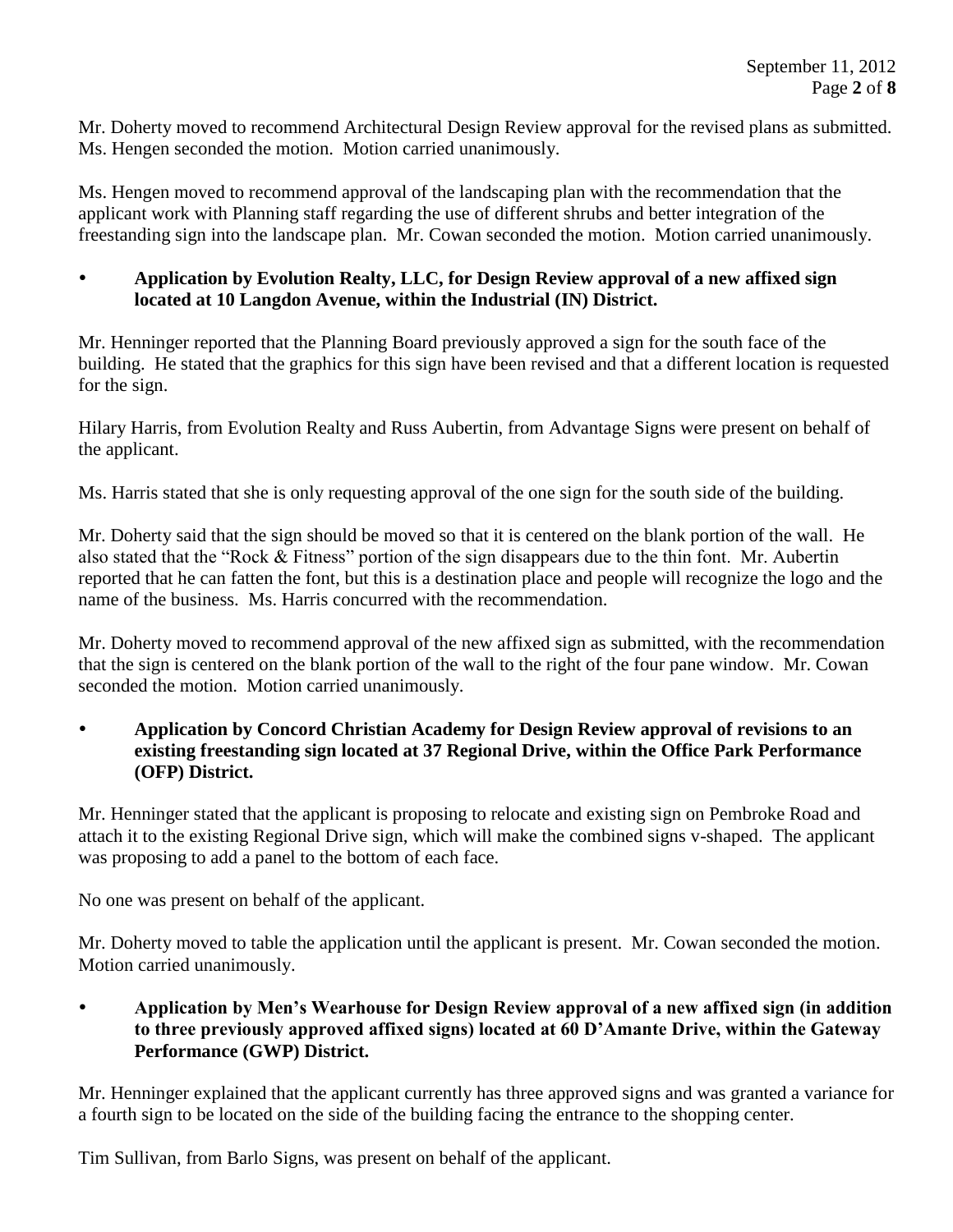Mr. Doherty moved to recommend Architectural Design Review approval for the revised plans as submitted. Ms. Hengen seconded the motion. Motion carried unanimously.

Ms. Hengen moved to recommend approval of the landscaping plan with the recommendation that the applicant work with Planning staff regarding the use of different shrubs and better integration of the freestanding sign into the landscape plan. Mr. Cowan seconded the motion. Motion carried unanimously.

## **Application by Evolution Realty, LLC, for Design Review approval of a new affixed sign located at 10 Langdon Avenue, within the Industrial (IN) District.**

Mr. Henninger reported that the Planning Board previously approved a sign for the south face of the building. He stated that the graphics for this sign have been revised and that a different location is requested for the sign.

Hilary Harris, from Evolution Realty and Russ Aubertin, from Advantage Signs were present on behalf of the applicant.

Ms. Harris stated that she is only requesting approval of the one sign for the south side of the building.

Mr. Doherty said that the sign should be moved so that it is centered on the blank portion of the wall. He also stated that the "Rock & Fitness" portion of the sign disappears due to the thin font. Mr. Aubertin reported that he can fatten the font, but this is a destination place and people will recognize the logo and the name of the business. Ms. Harris concurred with the recommendation.

Mr. Doherty moved to recommend approval of the new affixed sign as submitted, with the recommendation that the sign is centered on the blank portion of the wall to the right of the four pane window. Mr. Cowan seconded the motion. Motion carried unanimously.

 **Application by Concord Christian Academy for Design Review approval of revisions to an existing freestanding sign located at 37 Regional Drive, within the Office Park Performance (OFP) District.** 

Mr. Henninger stated that the applicant is proposing to relocate and existing sign on Pembroke Road and attach it to the existing Regional Drive sign, which will make the combined signs v-shaped. The applicant was proposing to add a panel to the bottom of each face.

No one was present on behalf of the applicant.

Mr. Doherty moved to table the application until the applicant is present. Mr. Cowan seconded the motion. Motion carried unanimously.

 **Application by Men's Wearhouse for Design Review approval of a new affixed sign (in addition to three previously approved affixed signs) located at 60 D'Amante Drive, within the Gateway Performance (GWP) District.**

Mr. Henninger explained that the applicant currently has three approved signs and was granted a variance for a fourth sign to be located on the side of the building facing the entrance to the shopping center.

Tim Sullivan, from Barlo Signs, was present on behalf of the applicant.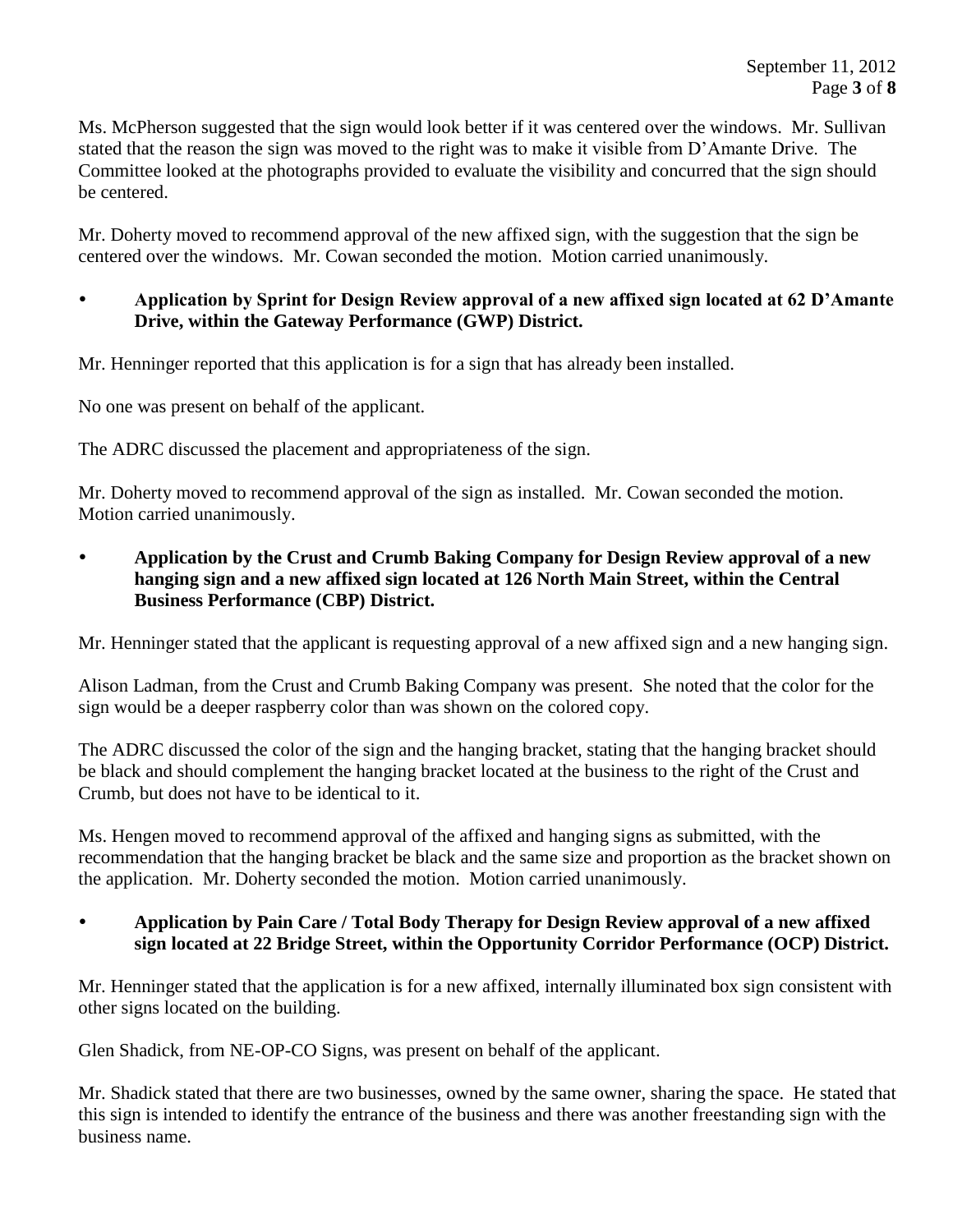Ms. McPherson suggested that the sign would look better if it was centered over the windows. Mr. Sullivan stated that the reason the sign was moved to the right was to make it visible from D'Amante Drive. The Committee looked at the photographs provided to evaluate the visibility and concurred that the sign should be centered.

Mr. Doherty moved to recommend approval of the new affixed sign, with the suggestion that the sign be centered over the windows. Mr. Cowan seconded the motion. Motion carried unanimously.

## **Application by Sprint for Design Review approval of a new affixed sign located at 62 D'Amante Drive, within the Gateway Performance (GWP) District.**

Mr. Henninger reported that this application is for a sign that has already been installed.

No one was present on behalf of the applicant.

The ADRC discussed the placement and appropriateness of the sign.

Mr. Doherty moved to recommend approval of the sign as installed. Mr. Cowan seconded the motion. Motion carried unanimously.

 **Application by the Crust and Crumb Baking Company for Design Review approval of a new hanging sign and a new affixed sign located at 126 North Main Street, within the Central Business Performance (CBP) District.**

Mr. Henninger stated that the applicant is requesting approval of a new affixed sign and a new hanging sign.

Alison Ladman, from the Crust and Crumb Baking Company was present. She noted that the color for the sign would be a deeper raspberry color than was shown on the colored copy.

The ADRC discussed the color of the sign and the hanging bracket, stating that the hanging bracket should be black and should complement the hanging bracket located at the business to the right of the Crust and Crumb, but does not have to be identical to it.

Ms. Hengen moved to recommend approval of the affixed and hanging signs as submitted, with the recommendation that the hanging bracket be black and the same size and proportion as the bracket shown on the application. Mr. Doherty seconded the motion. Motion carried unanimously.

#### **Application by Pain Care / Total Body Therapy for Design Review approval of a new affixed sign located at 22 Bridge Street, within the Opportunity Corridor Performance (OCP) District.**

Mr. Henninger stated that the application is for a new affixed, internally illuminated box sign consistent with other signs located on the building.

Glen Shadick, from NE-OP-CO Signs, was present on behalf of the applicant.

Mr. Shadick stated that there are two businesses, owned by the same owner, sharing the space. He stated that this sign is intended to identify the entrance of the business and there was another freestanding sign with the business name.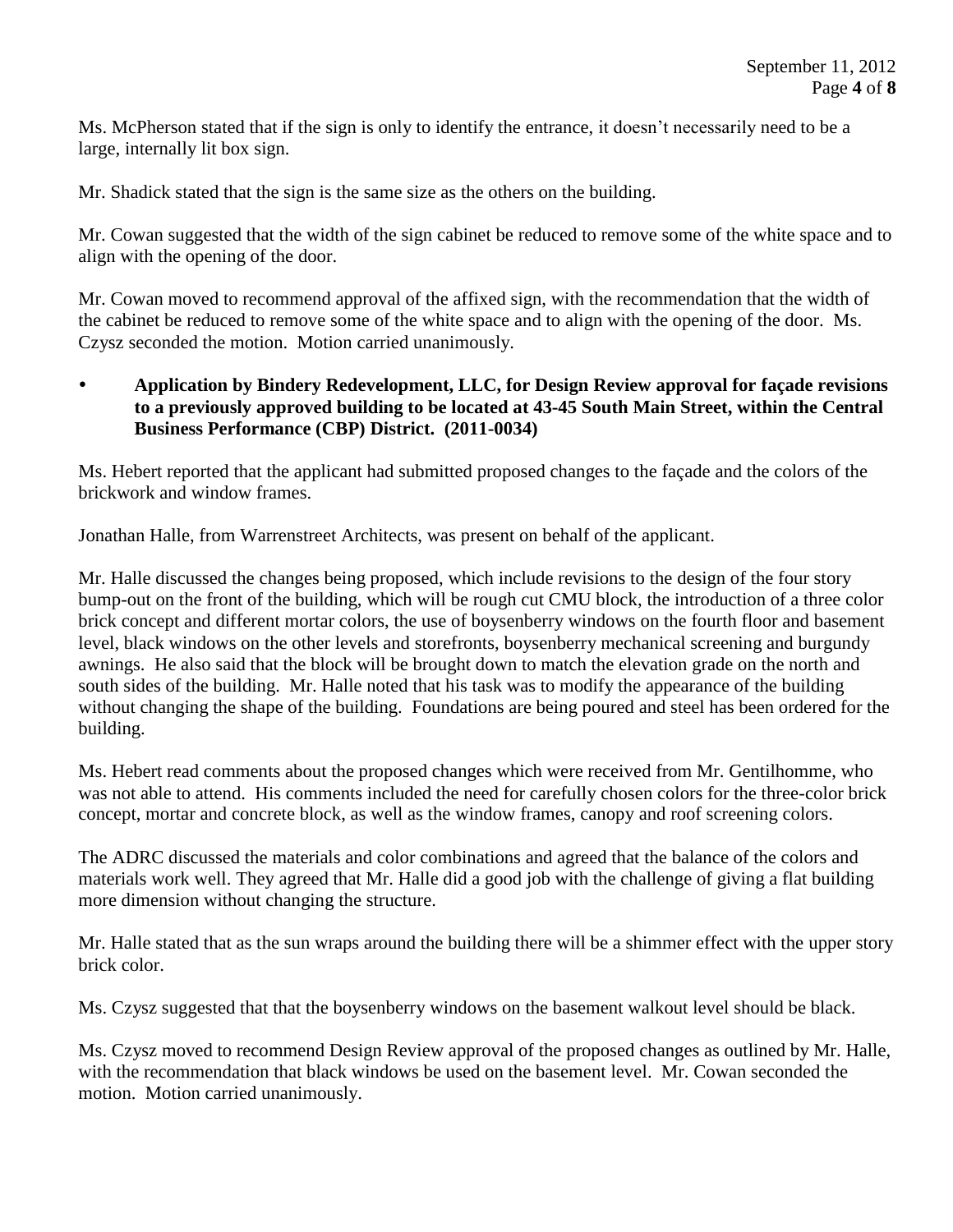Ms. McPherson stated that if the sign is only to identify the entrance, it doesn't necessarily need to be a large, internally lit box sign.

Mr. Shadick stated that the sign is the same size as the others on the building.

Mr. Cowan suggested that the width of the sign cabinet be reduced to remove some of the white space and to align with the opening of the door.

Mr. Cowan moved to recommend approval of the affixed sign, with the recommendation that the width of the cabinet be reduced to remove some of the white space and to align with the opening of the door. Ms. Czysz seconded the motion. Motion carried unanimously.

 **Application by Bindery Redevelopment, LLC, for Design Review approval for façade revisions to a previously approved building to be located at 43-45 South Main Street, within the Central Business Performance (CBP) District. (2011-0034)**

Ms. Hebert reported that the applicant had submitted proposed changes to the façade and the colors of the brickwork and window frames.

Jonathan Halle, from Warrenstreet Architects, was present on behalf of the applicant.

Mr. Halle discussed the changes being proposed, which include revisions to the design of the four story bump-out on the front of the building, which will be rough cut CMU block, the introduction of a three color brick concept and different mortar colors, the use of boysenberry windows on the fourth floor and basement level, black windows on the other levels and storefronts, boysenberry mechanical screening and burgundy awnings. He also said that the block will be brought down to match the elevation grade on the north and south sides of the building. Mr. Halle noted that his task was to modify the appearance of the building without changing the shape of the building. Foundations are being poured and steel has been ordered for the building.

Ms. Hebert read comments about the proposed changes which were received from Mr. Gentilhomme, who was not able to attend. His comments included the need for carefully chosen colors for the three-color brick concept, mortar and concrete block, as well as the window frames, canopy and roof screening colors.

The ADRC discussed the materials and color combinations and agreed that the balance of the colors and materials work well. They agreed that Mr. Halle did a good job with the challenge of giving a flat building more dimension without changing the structure.

Mr. Halle stated that as the sun wraps around the building there will be a shimmer effect with the upper story brick color.

Ms. Czysz suggested that that the boysenberry windows on the basement walkout level should be black.

Ms. Czysz moved to recommend Design Review approval of the proposed changes as outlined by Mr. Halle, with the recommendation that black windows be used on the basement level. Mr. Cowan seconded the motion. Motion carried unanimously.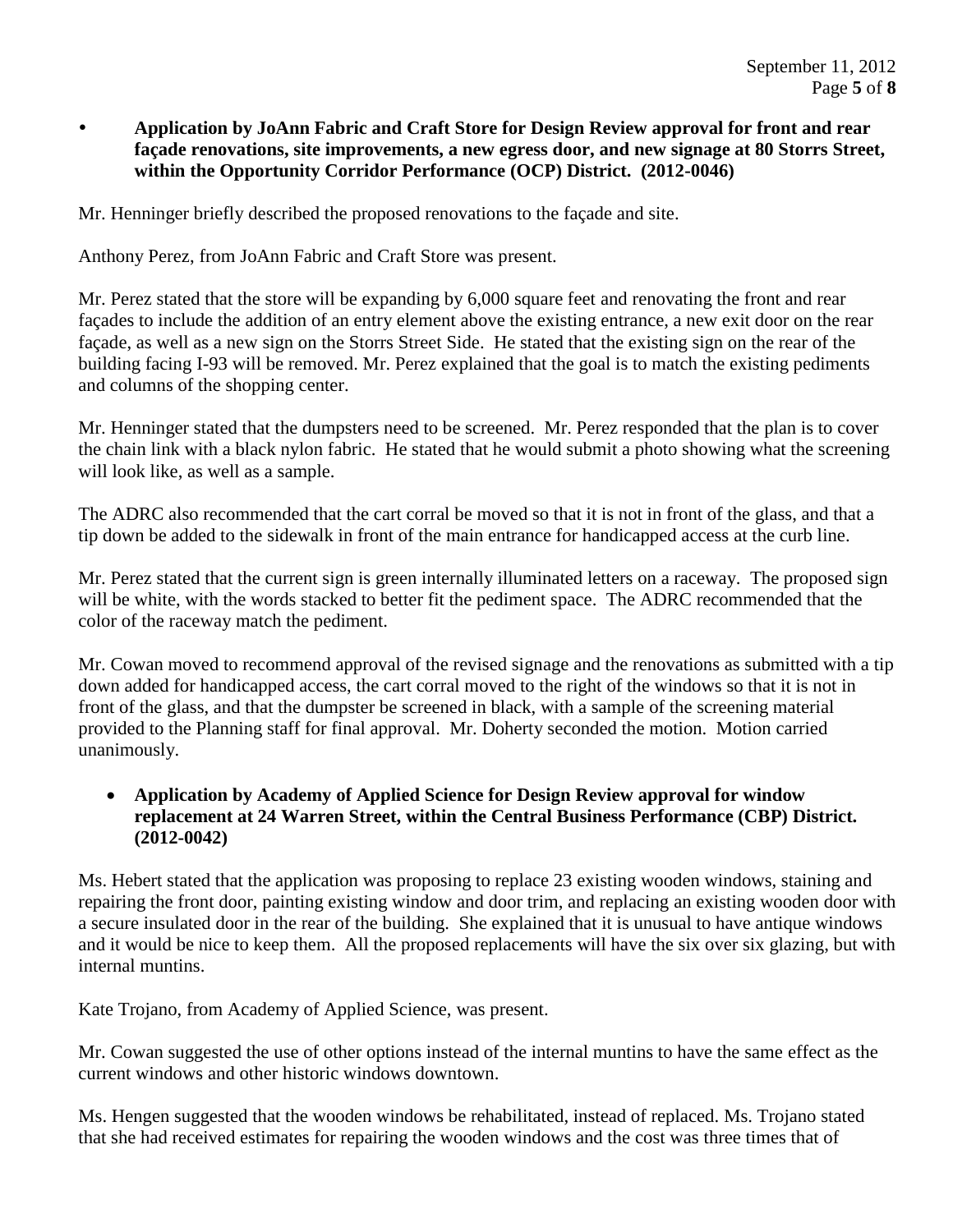## **Application by JoAnn Fabric and Craft Store for Design Review approval for front and rear façade renovations, site improvements, a new egress door, and new signage at 80 Storrs Street, within the Opportunity Corridor Performance (OCP) District. (2012-0046)**

Mr. Henninger briefly described the proposed renovations to the façade and site.

Anthony Perez, from JoAnn Fabric and Craft Store was present.

Mr. Perez stated that the store will be expanding by 6,000 square feet and renovating the front and rear façades to include the addition of an entry element above the existing entrance, a new exit door on the rear façade, as well as a new sign on the Storrs Street Side. He stated that the existing sign on the rear of the building facing I-93 will be removed. Mr. Perez explained that the goal is to match the existing pediments and columns of the shopping center.

Mr. Henninger stated that the dumpsters need to be screened. Mr. Perez responded that the plan is to cover the chain link with a black nylon fabric. He stated that he would submit a photo showing what the screening will look like, as well as a sample.

The ADRC also recommended that the cart corral be moved so that it is not in front of the glass, and that a tip down be added to the sidewalk in front of the main entrance for handicapped access at the curb line.

Mr. Perez stated that the current sign is green internally illuminated letters on a raceway. The proposed sign will be white, with the words stacked to better fit the pediment space. The ADRC recommended that the color of the raceway match the pediment.

Mr. Cowan moved to recommend approval of the revised signage and the renovations as submitted with a tip down added for handicapped access, the cart corral moved to the right of the windows so that it is not in front of the glass, and that the dumpster be screened in black, with a sample of the screening material provided to the Planning staff for final approval. Mr. Doherty seconded the motion. Motion carried unanimously.

### **Application by Academy of Applied Science for Design Review approval for window replacement at 24 Warren Street, within the Central Business Performance (CBP) District. (2012-0042)**

Ms. Hebert stated that the application was proposing to replace 23 existing wooden windows, staining and repairing the front door, painting existing window and door trim, and replacing an existing wooden door with a secure insulated door in the rear of the building. She explained that it is unusual to have antique windows and it would be nice to keep them. All the proposed replacements will have the six over six glazing, but with internal muntins.

Kate Trojano, from Academy of Applied Science, was present.

Mr. Cowan suggested the use of other options instead of the internal muntins to have the same effect as the current windows and other historic windows downtown.

Ms. Hengen suggested that the wooden windows be rehabilitated, instead of replaced. Ms. Trojano stated that she had received estimates for repairing the wooden windows and the cost was three times that of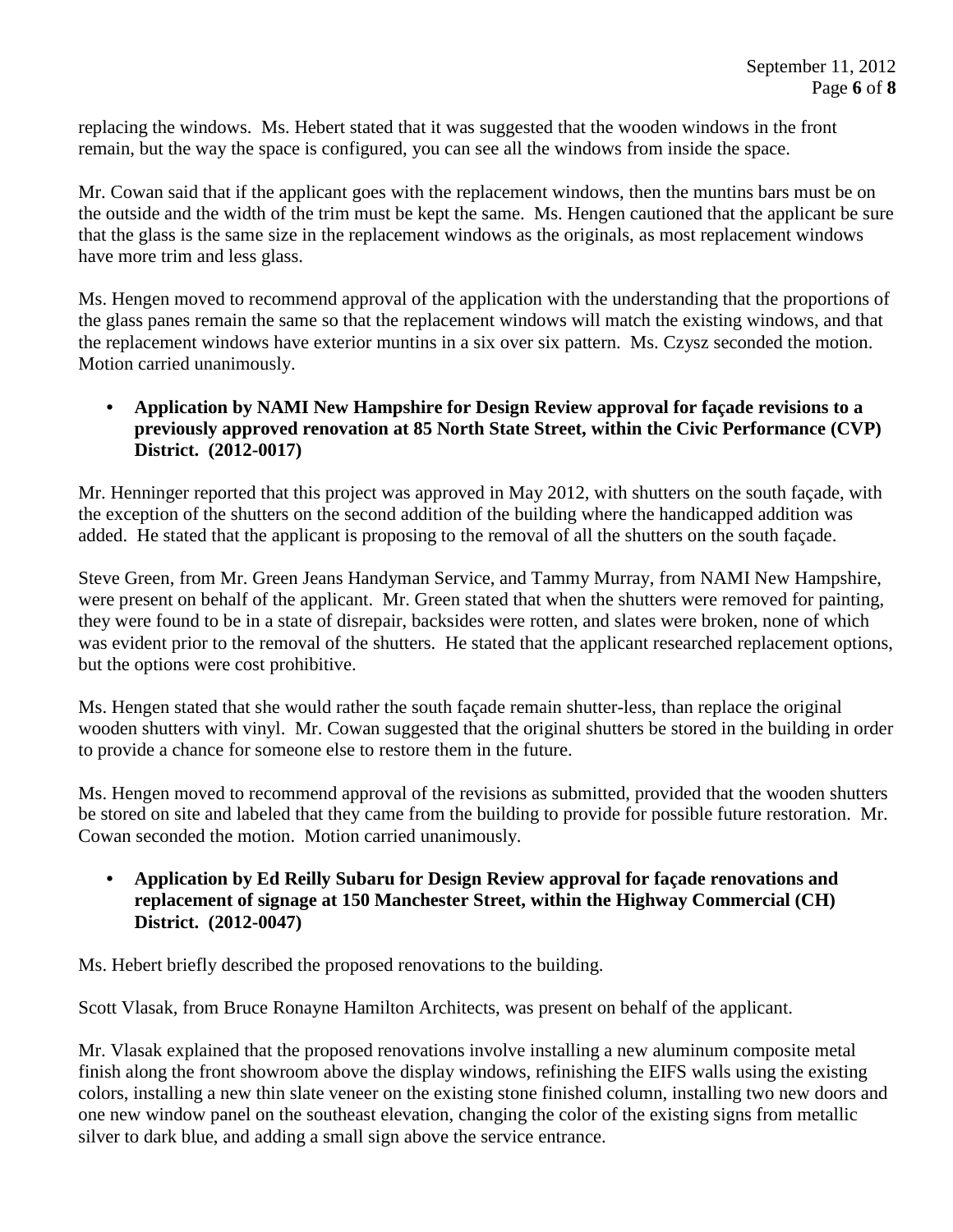replacing the windows. Ms. Hebert stated that it was suggested that the wooden windows in the front remain, but the way the space is configured, you can see all the windows from inside the space.

Mr. Cowan said that if the applicant goes with the replacement windows, then the muntins bars must be on the outside and the width of the trim must be kept the same. Ms. Hengen cautioned that the applicant be sure that the glass is the same size in the replacement windows as the originals, as most replacement windows have more trim and less glass.

Ms. Hengen moved to recommend approval of the application with the understanding that the proportions of the glass panes remain the same so that the replacement windows will match the existing windows, and that the replacement windows have exterior muntins in a six over six pattern. Ms. Czysz seconded the motion. Motion carried unanimously.

## **• Application by NAMI New Hampshire for Design Review approval for façade revisions to a previously approved renovation at 85 North State Street, within the Civic Performance (CVP) District. (2012-0017)**

Mr. Henninger reported that this project was approved in May 2012, with shutters on the south façade, with the exception of the shutters on the second addition of the building where the handicapped addition was added. He stated that the applicant is proposing to the removal of all the shutters on the south façade.

Steve Green, from Mr. Green Jeans Handyman Service, and Tammy Murray, from NAMI New Hampshire, were present on behalf of the applicant. Mr. Green stated that when the shutters were removed for painting, they were found to be in a state of disrepair, backsides were rotten, and slates were broken, none of which was evident prior to the removal of the shutters. He stated that the applicant researched replacement options, but the options were cost prohibitive.

Ms. Hengen stated that she would rather the south façade remain shutter-less, than replace the original wooden shutters with vinyl. Mr. Cowan suggested that the original shutters be stored in the building in order to provide a chance for someone else to restore them in the future.

Ms. Hengen moved to recommend approval of the revisions as submitted, provided that the wooden shutters be stored on site and labeled that they came from the building to provide for possible future restoration. Mr. Cowan seconded the motion. Motion carried unanimously.

**• Application by Ed Reilly Subaru for Design Review approval for façade renovations and replacement of signage at 150 Manchester Street, within the Highway Commercial (CH) District. (2012-0047)**

Ms. Hebert briefly described the proposed renovations to the building.

Scott Vlasak, from Bruce Ronayne Hamilton Architects, was present on behalf of the applicant.

Mr. Vlasak explained that the proposed renovations involve installing a new aluminum composite metal finish along the front showroom above the display windows, refinishing the EIFS walls using the existing colors, installing a new thin slate veneer on the existing stone finished column, installing two new doors and one new window panel on the southeast elevation, changing the color of the existing signs from metallic silver to dark blue, and adding a small sign above the service entrance.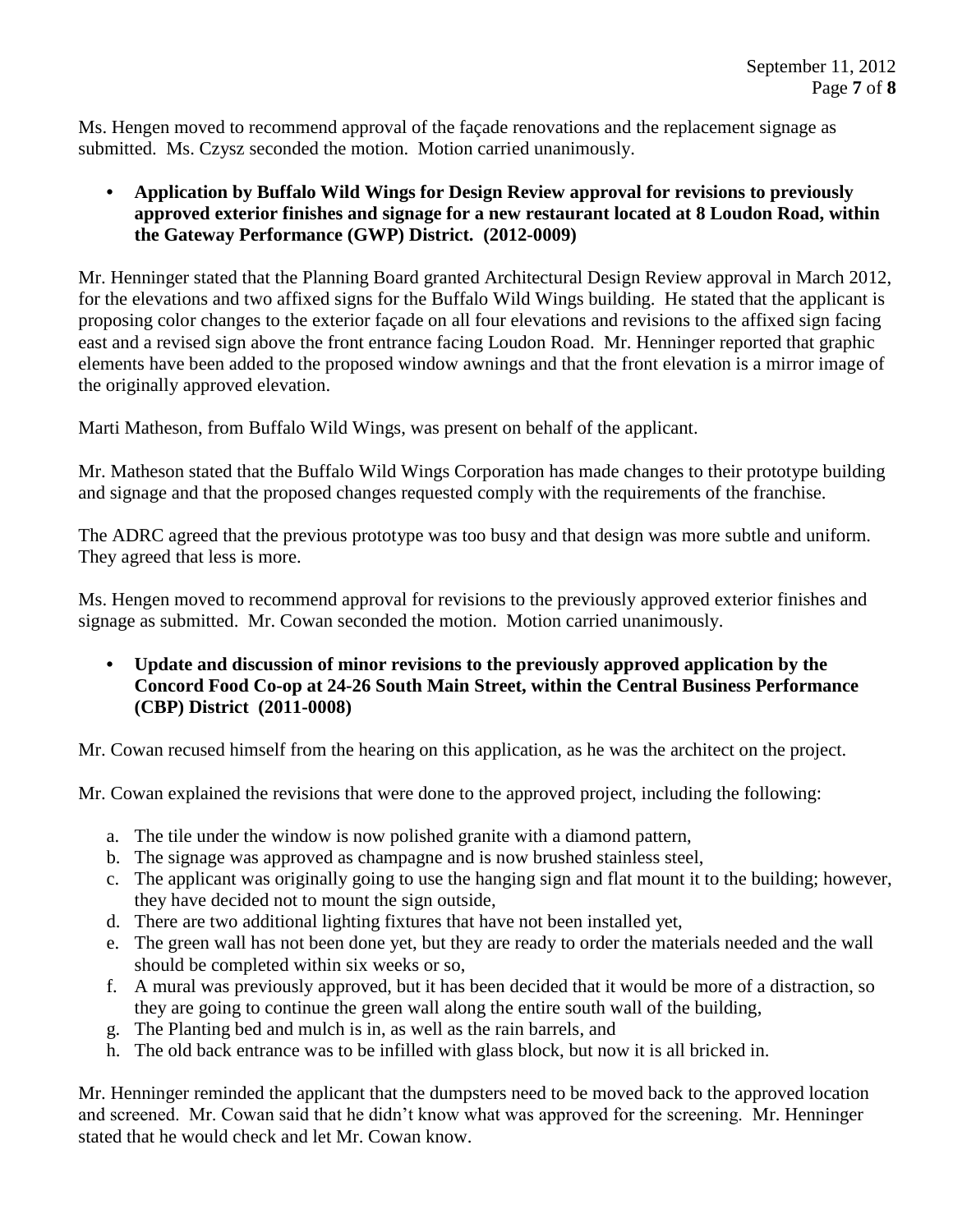Ms. Hengen moved to recommend approval of the façade renovations and the replacement signage as submitted. Ms. Czysz seconded the motion. Motion carried unanimously.

## **• Application by Buffalo Wild Wings for Design Review approval for revisions to previously approved exterior finishes and signage for a new restaurant located at 8 Loudon Road, within the Gateway Performance (GWP) District. (2012-0009)**

Mr. Henninger stated that the Planning Board granted Architectural Design Review approval in March 2012, for the elevations and two affixed signs for the Buffalo Wild Wings building. He stated that the applicant is proposing color changes to the exterior façade on all four elevations and revisions to the affixed sign facing east and a revised sign above the front entrance facing Loudon Road. Mr. Henninger reported that graphic elements have been added to the proposed window awnings and that the front elevation is a mirror image of the originally approved elevation.

Marti Matheson, from Buffalo Wild Wings, was present on behalf of the applicant.

Mr. Matheson stated that the Buffalo Wild Wings Corporation has made changes to their prototype building and signage and that the proposed changes requested comply with the requirements of the franchise.

The ADRC agreed that the previous prototype was too busy and that design was more subtle and uniform. They agreed that less is more.

Ms. Hengen moved to recommend approval for revisions to the previously approved exterior finishes and signage as submitted. Mr. Cowan seconded the motion. Motion carried unanimously.

**• Update and discussion of minor revisions to the previously approved application by the Concord Food Co-op at 24-26 South Main Street, within the Central Business Performance (CBP) District (2011-0008)**

Mr. Cowan recused himself from the hearing on this application, as he was the architect on the project.

Mr. Cowan explained the revisions that were done to the approved project, including the following:

- a. The tile under the window is now polished granite with a diamond pattern,
- b. The signage was approved as champagne and is now brushed stainless steel,
- c. The applicant was originally going to use the hanging sign and flat mount it to the building; however, they have decided not to mount the sign outside,
- d. There are two additional lighting fixtures that have not been installed yet,
- e. The green wall has not been done yet, but they are ready to order the materials needed and the wall should be completed within six weeks or so,
- f. A mural was previously approved, but it has been decided that it would be more of a distraction, so they are going to continue the green wall along the entire south wall of the building,
- g. The Planting bed and mulch is in, as well as the rain barrels, and
- h. The old back entrance was to be infilled with glass block, but now it is all bricked in.

Mr. Henninger reminded the applicant that the dumpsters need to be moved back to the approved location and screened. Mr. Cowan said that he didn't know what was approved for the screening. Mr. Henninger stated that he would check and let Mr. Cowan know.